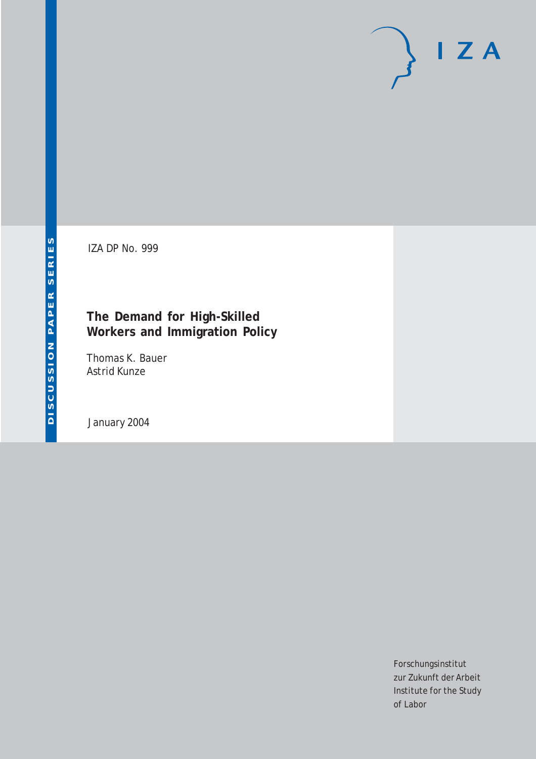# $I Z A$

IZA DP No. 999

## **The Demand for High-Skilled Workers and Immigration Policy**

Thomas K. Bauer Astrid Kunze

January 2004

Forschungsinstitut zur Zukunft der Arbeit Institute for the Study of Labor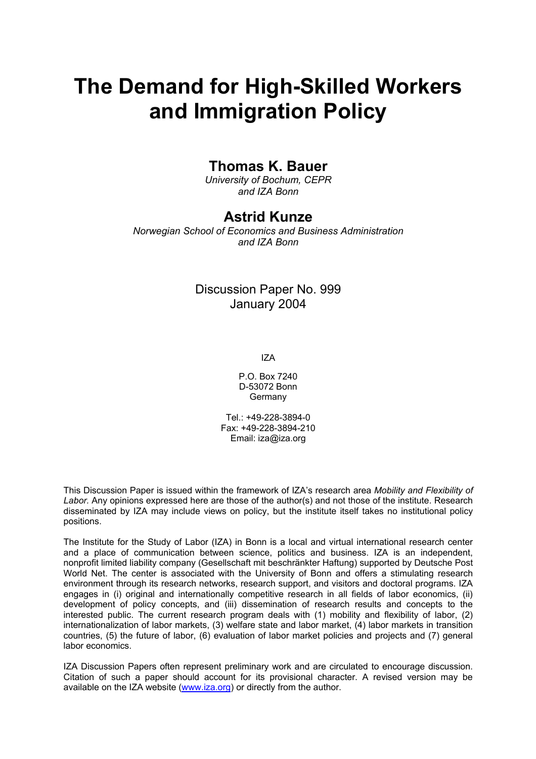# **The Demand for High-Skilled Workers and Immigration Policy**

## **Thomas K. Bauer**

*University of Bochum, CEPR and IZA Bonn* 

### **Astrid Kunze**

*Norwegian School of Economics and Business Administration and IZA Bonn* 

#### Discussion Paper No. 999 January 2004

IZA

P.O. Box 7240 D-53072 Bonn **Germany** 

Tel.: +49-228-3894-0 Fax: +49-228-3894-210 Email: [iza@iza.org](mailto:iza@iza.org)

This Discussion Paper is issued within the framework of IZA's research area *Mobility and Flexibility of Labor.* Any opinions expressed here are those of the author(s) and not those of the institute. Research disseminated by IZA may include views on policy, but the institute itself takes no institutional policy positions.

The Institute for the Study of Labor (IZA) in Bonn is a local and virtual international research center and a place of communication between science, politics and business. IZA is an independent, nonprofit limited liability company (Gesellschaft mit beschränkter Haftung) supported by Deutsche Post World Net. The center is associated with the University of Bonn and offers a stimulating research environment through its research networks, research support, and visitors and doctoral programs. IZA engages in (i) original and internationally competitive research in all fields of labor economics, (ii) development of policy concepts, and (iii) dissemination of research results and concepts to the interested public. The current research program deals with (1) mobility and flexibility of labor, (2) internationalization of labor markets, (3) welfare state and labor market, (4) labor markets in transition countries, (5) the future of labor, (6) evaluation of labor market policies and projects and (7) general labor economics.

IZA Discussion Papers often represent preliminary work and are circulated to encourage discussion. Citation of such a paper should account for its provisional character. A revised version may be available on the IZA website ([www.iza.org](http://www.iza.org/)) or directly from the author.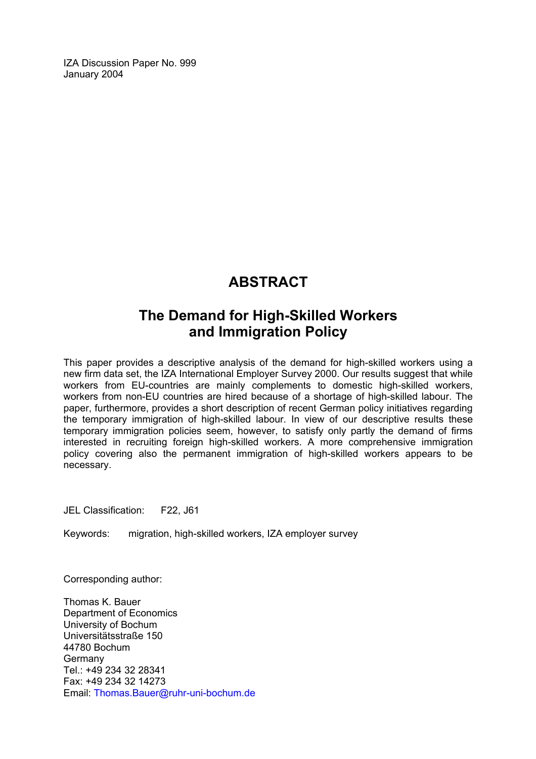IZA Discussion Paper No. 999 January 2004

## **ABSTRACT**

## **The Demand for High-Skilled Workers and Immigration Policy**

This paper provides a descriptive analysis of the demand for high-skilled workers using a new firm data set, the IZA International Employer Survey 2000. Our results suggest that while workers from EU-countries are mainly complements to domestic high-skilled workers, workers from non-EU countries are hired because of a shortage of high-skilled labour. The paper, furthermore, provides a short description of recent German policy initiatives regarding the temporary immigration of high-skilled labour. In view of our descriptive results these temporary immigration policies seem, however, to satisfy only partly the demand of firms interested in recruiting foreign high-skilled workers. A more comprehensive immigration policy covering also the permanent immigration of high-skilled workers appears to be necessary.

JEL Classification: F22, J61

Keywords: migration, high-skilled workers, IZA employer survey

Corresponding author:

Thomas K. Bauer Department of Economics University of Bochum Universitätsstraße 150 44780 Bochum Germany Tel.: +49 234 32 28341 Fax: +49 234 32 14273 Email: [Thomas.Bauer@ruhr-uni-bochum.de](mailto:Thomas.Bauer@ruhr-uni-bochum.de)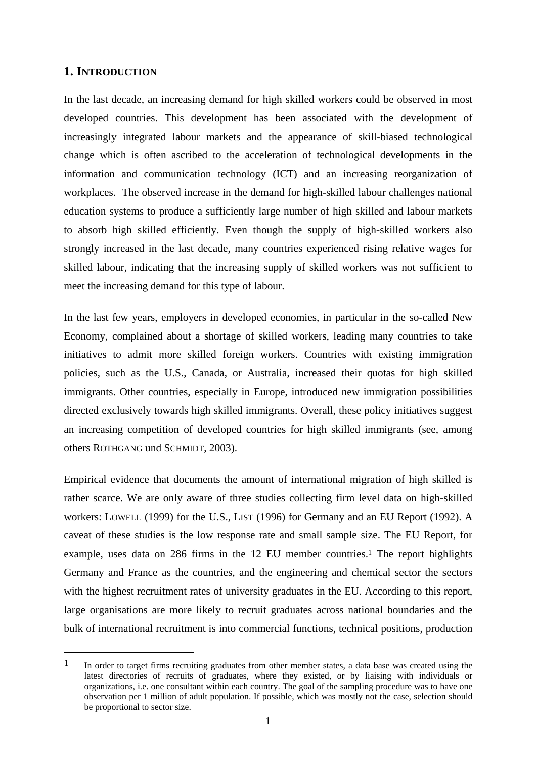#### **1. INTRODUCTION**

 $\overline{a}$ 

In the last decade, an increasing demand for high skilled workers could be observed in most developed countries. This development has been associated with the development of increasingly integrated labour markets and the appearance of skill-biased technological change which is often ascribed to the acceleration of technological developments in the information and communication technology (ICT) and an increasing reorganization of workplaces. The observed increase in the demand for high-skilled labour challenges national education systems to produce a sufficiently large number of high skilled and labour markets to absorb high skilled efficiently. Even though the supply of high-skilled workers also strongly increased in the last decade, many countries experienced rising relative wages for skilled labour, indicating that the increasing supply of skilled workers was not sufficient to meet the increasing demand for this type of labour.

In the last few years, employers in developed economies, in particular in the so-called New Economy, complained about a shortage of skilled workers, leading many countries to take initiatives to admit more skilled foreign workers. Countries with existing immigration policies, such as the U.S., Canada, or Australia, increased their quotas for high skilled immigrants. Other countries, especially in Europe, introduced new immigration possibilities directed exclusively towards high skilled immigrants. Overall, these policy initiatives suggest an increasing competition of developed countries for high skilled immigrants (see, among others ROTHGANG und SCHMIDT, 2003).

Empirical evidence that documents the amount of international migration of high skilled is rather scarce. We are only aware of three studies collecting firm level data on high-skilled workers: LOWELL (1999) for the U.S., LIST (1996) for Germany and an EU Report (1992). A caveat of these studies is the low response rate and small sample size. The EU Report, for example, uses data on 286 firms in the 12 EU member countries.<sup>1</sup> The report highlights Germany and France as the countries, and the engineering and chemical sector the sectors with the highest recruitment rates of university graduates in the EU. According to this report, large organisations are more likely to recruit graduates across national boundaries and the bulk of international recruitment is into commercial functions, technical positions, production

<span id="page-3-0"></span><sup>1</sup> In order to target firms recruiting graduates from other member states, a data base was created using the latest directories of recruits of graduates, where they existed, or by liaising with individuals or organizations, i.e. one consultant within each country. The goal of the sampling procedure was to have one observation per 1 million of adult population. If possible, which was mostly not the case, selection should be proportional to sector size.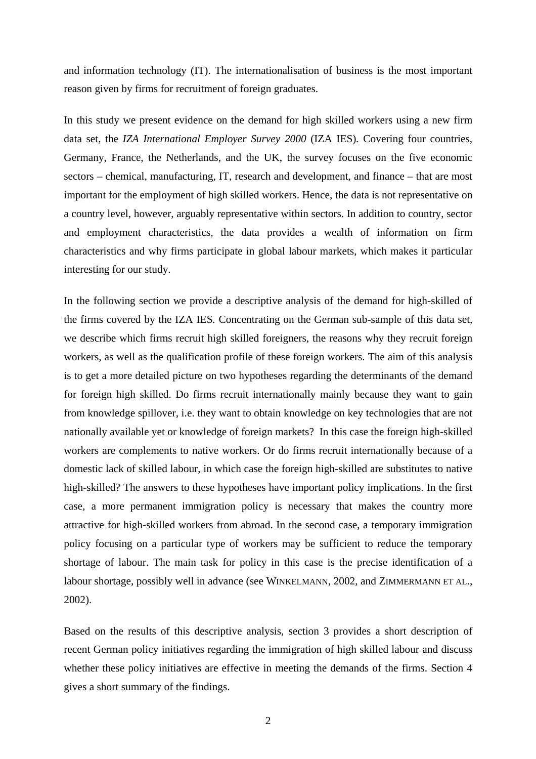and information technology (IT). The internationalisation of business is the most important reason given by firms for recruitment of foreign graduates.

In this study we present evidence on the demand for high skilled workers using a new firm data set, the *IZA International Employer Survey 2000* (IZA IES)*.* Covering four countries, Germany, France, the Netherlands, and the UK, the survey focuses on the five economic sectors – chemical, manufacturing, IT, research and development, and finance – that are most important for the employment of high skilled workers. Hence, the data is not representative on a country level, however, arguably representative within sectors. In addition to country, sector and employment characteristics, the data provides a wealth of information on firm characteristics and why firms participate in global labour markets, which makes it particular interesting for our study.

In the following section we provide a descriptive analysis of the demand for high-skilled of the firms covered by the IZA IES*.* Concentrating on the German sub-sample of this data set, we describe which firms recruit high skilled foreigners, the reasons why they recruit foreign workers, as well as the qualification profile of these foreign workers. The aim of this analysis is to get a more detailed picture on two hypotheses regarding the determinants of the demand for foreign high skilled. Do firms recruit internationally mainly because they want to gain from knowledge spillover, i.e. they want to obtain knowledge on key technologies that are not nationally available yet or knowledge of foreign markets? In this case the foreign high-skilled workers are complements to native workers. Or do firms recruit internationally because of a domestic lack of skilled labour, in which case the foreign high-skilled are substitutes to native high-skilled? The answers to these hypotheses have important policy implications. In the first case, a more permanent immigration policy is necessary that makes the country more attractive for high-skilled workers from abroad. In the second case, a temporary immigration policy focusing on a particular type of workers may be sufficient to reduce the temporary shortage of labour. The main task for policy in this case is the precise identification of a labour shortage, possibly well in advance (see WINKELMANN, 2002, and ZIMMERMANN ET AL., 2002).

Based on the results of this descriptive analysis, section 3 provides a short description of recent German policy initiatives regarding the immigration of high skilled labour and discuss whether these policy initiatives are effective in meeting the demands of the firms. Section 4 gives a short summary of the findings.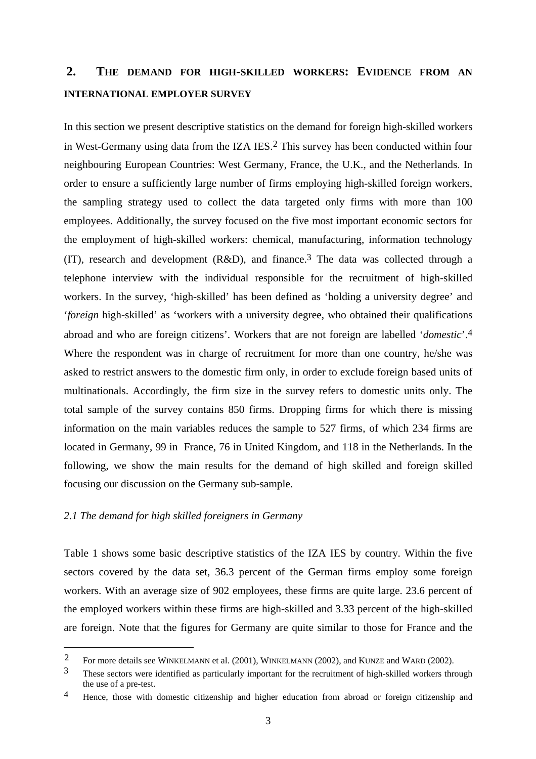## **2. THE DEMAND FOR HIGH-SKILLED WORKERS: EVIDENCE FROM AN INTERNATIONAL EMPLOYER SURVEY**

In this section we present descriptive statistics on the demand for foreign high-skilled workers in West-Germany using data from the IZA IES.[2](#page-5-0) This survey has been conducted within four neighbouring European Countries: West Germany, France, the U.K., and the Netherlands. In order to ensure a sufficiently large number of firms employing high-skilled foreign workers, the sampling strategy used to collect the data targeted only firms with more than 100 employees. Additionally, the survey focused on the five most important economic sectors for the employment of high-skilled workers: chemical, manufacturing, information technology (IT), research and development  $(R&D)$ , and finance.<sup>3</sup> The data was collected through a telephone interview with the individual responsible for the recruitment of high-skilled workers. In the survey, 'high-skilled' has been defined as 'holding a university degree' and '*foreign* high-skilled' as 'workers with a university degree, who obtained their qualifications abroad and who are foreign citizens'. Workers that are not foreign are labelled '*domestic*'.[4](#page-5-2) Where the respondent was in charge of recruitment for more than one country, he/she was asked to restrict answers to the domestic firm only, in order to exclude foreign based units of multinationals. Accordingly, the firm size in the survey refers to domestic units only. The total sample of the survey contains 850 firms. Dropping firms for which there is missing information on the main variables reduces the sample to 527 firms, of which 234 firms are located in Germany, 99 in France, 76 in United Kingdom, and 118 in the Netherlands. In the following, we show the main results for the demand of high skilled and foreign skilled focusing our discussion on the Germany sub-sample.

#### *2.1 The demand for high skilled foreigners in Germany*

 $\overline{a}$ 

Table 1 shows some basic descriptive statistics of the IZA IES by country*.* Within the five sectors covered by the data set, 36.3 percent of the German firms employ some foreign workers. With an average size of 902 employees, these firms are quite large. 23.6 percent of the employed workers within these firms are high-skilled and 3.33 percent of the high-skilled are foreign. Note that the figures for Germany are quite similar to those for France and the

<span id="page-5-0"></span><sup>&</sup>lt;sup>2</sup> For more details see WINKELMANN et al. (2001), WINKELMANN (2002), and KUNZE and WARD (2002).

<span id="page-5-1"></span><sup>&</sup>lt;sup>3</sup> These sectors were identified as particularly important for the recruitment of high-skilled workers through the use of a pre-test.

<span id="page-5-2"></span><sup>4</sup> Hence, those with domestic citizenship and higher education from abroad or foreign citizenship and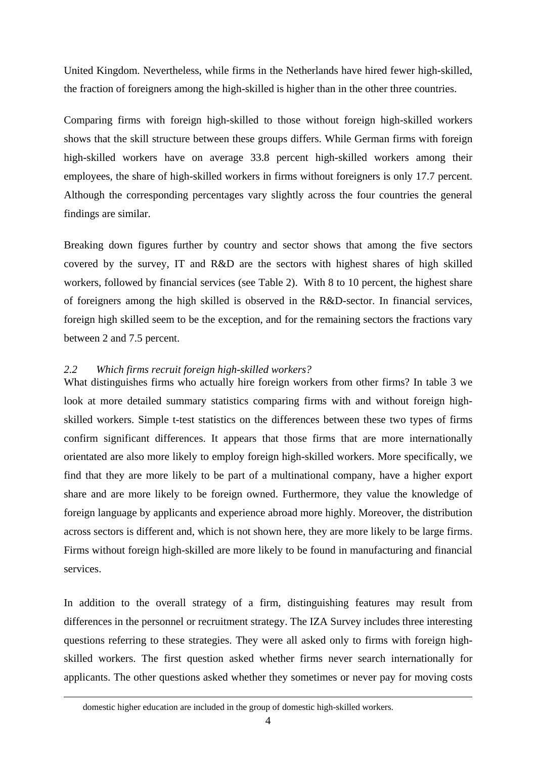United Kingdom. Nevertheless, while firms in the Netherlands have hired fewer high-skilled, the fraction of foreigners among the high-skilled is higher than in the other three countries.

Comparing firms with foreign high-skilled to those without foreign high-skilled workers shows that the skill structure between these groups differs. While German firms with foreign high-skilled workers have on average 33.8 percent high-skilled workers among their employees, the share of high-skilled workers in firms without foreigners is only 17.7 percent. Although the corresponding percentages vary slightly across the four countries the general findings are similar.

Breaking down figures further by country and sector shows that among the five sectors covered by the survey, IT and R&D are the sectors with highest shares of high skilled workers, followed by financial services (see Table 2). With 8 to 10 percent, the highest share of foreigners among the high skilled is observed in the R&D-sector. In financial services, foreign high skilled seem to be the exception, and for the remaining sectors the fractions vary between 2 and 7.5 percent.

#### *2.2 Which firms recruit foreign high-skilled workers?*

What distinguishes firms who actually hire foreign workers from other firms? In table 3 we look at more detailed summary statistics comparing firms with and without foreign highskilled workers. Simple t-test statistics on the differences between these two types of firms confirm significant differences. It appears that those firms that are more internationally orientated are also more likely to employ foreign high-skilled workers. More specifically, we find that they are more likely to be part of a multinational company, have a higher export share and are more likely to be foreign owned. Furthermore, they value the knowledge of foreign language by applicants and experience abroad more highly. Moreover, the distribution across sectors is different and, which is not shown here, they are more likely to be large firms. Firms without foreign high-skilled are more likely to be found in manufacturing and financial services.

In addition to the overall strategy of a firm, distinguishing features may result from differences in the personnel or recruitment strategy. The IZA Survey includes three interesting questions referring to these strategies. They were all asked only to firms with foreign highskilled workers. The first question asked whether firms never search internationally for applicants. The other questions asked whether they sometimes or never pay for moving costs

 $\overline{a}$ 

domestic higher education are included in the group of domestic high-skilled workers.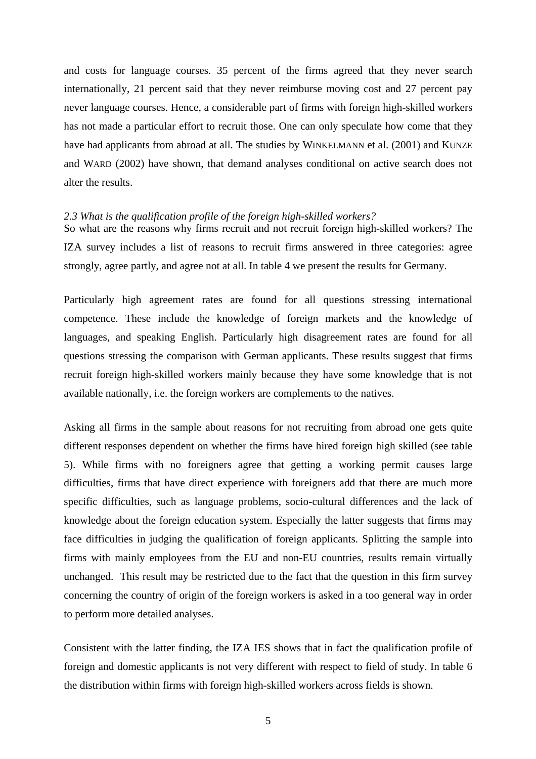and costs for language courses. 35 percent of the firms agreed that they never search internationally, 21 percent said that they never reimburse moving cost and 27 percent pay never language courses. Hence, a considerable part of firms with foreign high-skilled workers has not made a particular effort to recruit those. One can only speculate how come that they have had applicants from abroad at all. The studies by WINKELMANN et al. (2001) and KUNZE and WARD (2002) have shown, that demand analyses conditional on active search does not alter the results.

#### *2.3 What is the qualification profile of the foreign high-skilled workers?*

So what are the reasons why firms recruit and not recruit foreign high-skilled workers? The IZA survey includes a list of reasons to recruit firms answered in three categories: agree strongly, agree partly, and agree not at all. In table 4 we present the results for Germany.

Particularly high agreement rates are found for all questions stressing international competence. These include the knowledge of foreign markets and the knowledge of languages, and speaking English. Particularly high disagreement rates are found for all questions stressing the comparison with German applicants. These results suggest that firms recruit foreign high-skilled workers mainly because they have some knowledge that is not available nationally, i.e. the foreign workers are complements to the natives.

Asking all firms in the sample about reasons for not recruiting from abroad one gets quite different responses dependent on whether the firms have hired foreign high skilled (see table 5). While firms with no foreigners agree that getting a working permit causes large difficulties, firms that have direct experience with foreigners add that there are much more specific difficulties, such as language problems, socio-cultural differences and the lack of knowledge about the foreign education system. Especially the latter suggests that firms may face difficulties in judging the qualification of foreign applicants. Splitting the sample into firms with mainly employees from the EU and non-EU countries, results remain virtually unchanged. This result may be restricted due to the fact that the question in this firm survey concerning the country of origin of the foreign workers is asked in a too general way in order to perform more detailed analyses.

Consistent with the latter finding, the IZA IES shows that in fact the qualification profile of foreign and domestic applicants is not very different with respect to field of study. In table 6 the distribution within firms with foreign high-skilled workers across fields is shown.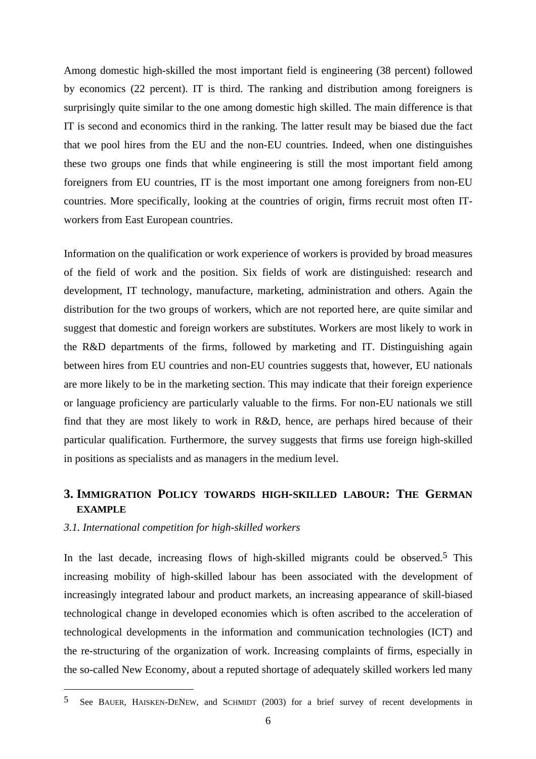Among domestic high-skilled the most important field is engineering (38 percent) followed by economics (22 percent). IT is third. The ranking and distribution among foreigners is surprisingly quite similar to the one among domestic high skilled. The main difference is that IT is second and economics third in the ranking. The latter result may be biased due the fact that we pool hires from the EU and the non-EU countries. Indeed, when one distinguishes these two groups one finds that while engineering is still the most important field among foreigners from EU countries, IT is the most important one among foreigners from non-EU countries. More specifically, looking at the countries of origin, firms recruit most often ITworkers from East European countries.

Information on the qualification or work experience of workers is provided by broad measures of the field of work and the position. Six fields of work are distinguished: research and development, IT technology, manufacture, marketing, administration and others. Again the distribution for the two groups of workers, which are not reported here, are quite similar and suggest that domestic and foreign workers are substitutes. Workers are most likely to work in the R&D departments of the firms, followed by marketing and IT. Distinguishing again between hires from EU countries and non-EU countries suggests that, however, EU nationals are more likely to be in the marketing section. This may indicate that their foreign experience or language proficiency are particularly valuable to the firms. For non-EU nationals we still find that they are most likely to work in R&D, hence, are perhaps hired because of their particular qualification. Furthermore, the survey suggests that firms use foreign high-skilled in positions as specialists and as managers in the medium level.

#### **3. IMMIGRATION POLICY TOWARDS HIGH-SKILLED LABOUR: THE GERMAN EXAMPLE**

#### *3.1. International competition for high-skilled workers*

 $\overline{a}$ 

In the last decade, increasing flows of high-skilled migrants could be observed.<sup>5</sup> This increasing mobility of high-skilled labour has been associated with the development of increasingly integrated labour and product markets, an increasing appearance of skill-biased technological change in developed economies which is often ascribed to the acceleration of technological developments in the information and communication technologies (ICT) and the re-structuring of the organization of work. Increasing complaints of firms, especially in the so-called New Economy, about a reputed shortage of adequately skilled workers led many

<span id="page-8-0"></span><sup>5</sup> See BAUER, HAISKEN-DENEW, and SCHMIDT (2003) for a brief survey of recent developments in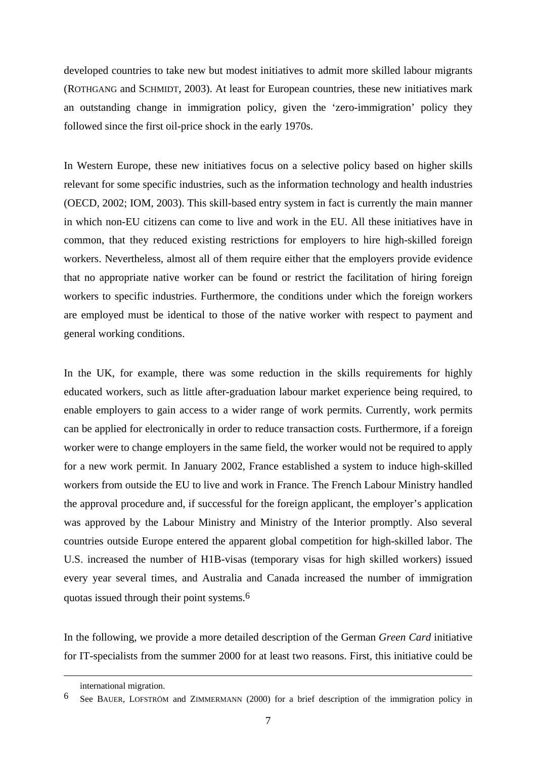developed countries to take new but modest initiatives to admit more skilled labour migrants (ROTHGANG and SCHMIDT, 2003). At least for European countries, these new initiatives mark an outstanding change in immigration policy, given the 'zero-immigration' policy they followed since the first oil-price shock in the early 1970s.

In Western Europe, these new initiatives focus on a selective policy based on higher skills relevant for some specific industries, such as the information technology and health industries (OECD, 2002; IOM, 2003). This skill-based entry system in fact is currently the main manner in which non-EU citizens can come to live and work in the EU. All these initiatives have in common, that they reduced existing restrictions for employers to hire high-skilled foreign workers. Nevertheless, almost all of them require either that the employers provide evidence that no appropriate native worker can be found or restrict the facilitation of hiring foreign workers to specific industries. Furthermore, the conditions under which the foreign workers are employed must be identical to those of the native worker with respect to payment and general working conditions.

In the UK, for example, there was some reduction in the skills requirements for highly educated workers, such as little after-graduation labour market experience being required, to enable employers to gain access to a wider range of work permits. Currently, work permits can be applied for electronically in order to reduce transaction costs. Furthermore, if a foreign worker were to change employers in the same field, the worker would not be required to apply for a new work permit. In January 2002, France established a system to induce high-skilled workers from outside the EU to live and work in France. The French Labour Ministry handled the approval procedure and, if successful for the foreign applicant, the employer's application was approved by the Labour Ministry and Ministry of the Interior promptly. Also several countries outside Europe entered the apparent global competition for high-skilled labor. The U.S. increased the number of H1B-visas (temporary visas for high skilled workers) issued every year several times, and Australia and Canada increased the number of immigration quotas issued through their point systems.[6](#page-9-0)

In the following, we provide a more detailed description of the German *Green Card* initiative for IT-specialists from the summer 2000 for at least two reasons. First, this initiative could be

international migration.

<span id="page-9-0"></span><sup>6</sup> See BAUER, LOFSTRÖM and ZIMMERMANN (2000) for a brief description of the immigration policy in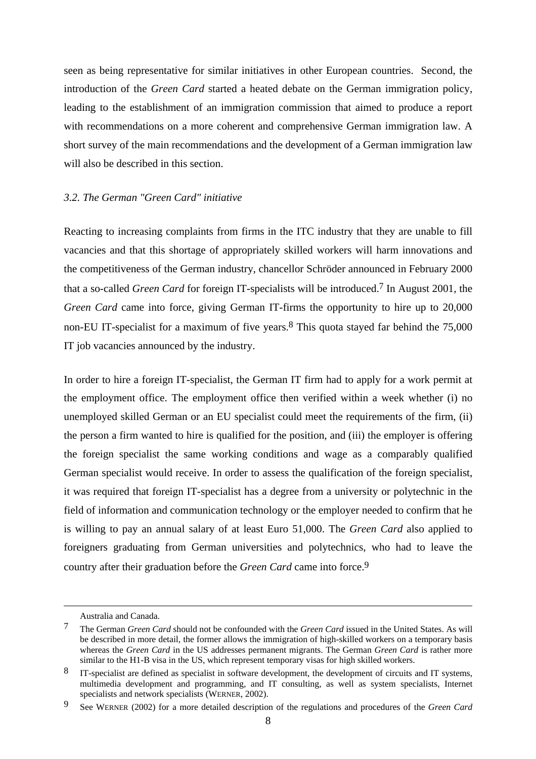seen as being representative for similar initiatives in other European countries. Second, the introduction of the *Green Card* started a heated debate on the German immigration policy, leading to the establishment of an immigration commission that aimed to produce a report with recommendations on a more coherent and comprehensive German immigration law. A short survey of the main recommendations and the development of a German immigration law will also be described in this section.

#### *3.2. The German "Green Card" initiative*

Reacting to increasing complaints from firms in the ITC industry that they are unable to fill vacancies and that this shortage of appropriately skilled workers will harm innovations and the competitiveness of the German industry, chancellor Schröder announced in February 2000 that a so-called *Green Card* for foreign IT-specialists will be introduced.[7](#page-10-0) In August 2001, the *Green Card* came into force, giving German IT-firms the opportunity to hire up to 20,000 non-EU IT-specialist for a maximum of five years.<sup>8</sup> This quota stayed far behind the  $75,000$ IT job vacancies announced by the industry.

In order to hire a foreign IT-specialist, the German IT firm had to apply for a work permit at the employment office. The employment office then verified within a week whether (i) no unemployed skilled German or an EU specialist could meet the requirements of the firm, (ii) the person a firm wanted to hire is qualified for the position, and (iii) the employer is offering the foreign specialist the same working conditions and wage as a comparably qualified German specialist would receive. In order to assess the qualification of the foreign specialist, it was required that foreign IT-specialist has a degree from a university or polytechnic in the field of information and communication technology or the employer needed to confirm that he is willing to pay an annual salary of at least Euro 51,000. The *Green Card* also applied to foreigners graduating from German universities and polytechnics, who had to leave the country after their graduation before the *Green Card* came into force.[9](#page-10-2)

Australia and Canada.

<span id="page-10-0"></span><sup>7</sup> The German *Green Card* should not be confounded with the *Green Card* issued in the United States. As will be described in more detail, the former allows the immigration of high-skilled workers on a temporary basis whereas the *Green Card* in the US addresses permanent migrants. The German *Green Card* is rather more similar to the H1-B visa in the US, which represent temporary visas for high skilled workers.

<span id="page-10-1"></span><sup>8</sup> IT-specialist are defined as specialist in software development, the development of circuits and IT systems, multimedia development and programming, and IT consulting, as well as system specialists, Internet specialists and network specialists (WERNER, 2002).

<span id="page-10-2"></span><sup>9</sup> See WERNER (2002) for a more detailed description of the regulations and procedures of the *Green Card*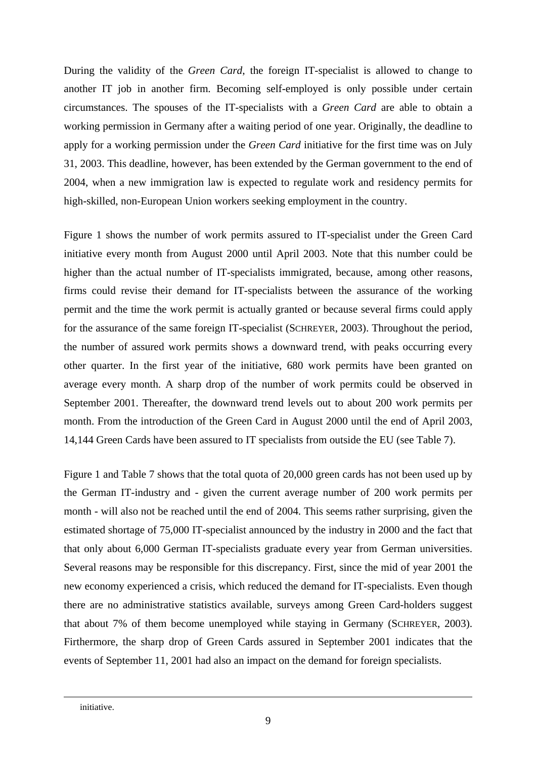During the validity of the *Green Card*, the foreign IT-specialist is allowed to change to another IT job in another firm. Becoming self-employed is only possible under certain circumstances. The spouses of the IT-specialists with a *Green Card* are able to obtain a working permission in Germany after a waiting period of one year. Originally, the deadline to apply for a working permission under the *Green Card* initiative for the first time was on July 31, 2003. This deadline, however, has been extended by the German government to the end of 2004, when a new immigration law is expected to regulate work and residency permits for high-skilled, non-European Union workers seeking employment in the country.

Figure 1 shows the number of work permits assured to IT-specialist under the Green Card initiative every month from August 2000 until April 2003. Note that this number could be higher than the actual number of IT-specialists immigrated, because, among other reasons, firms could revise their demand for IT-specialists between the assurance of the working permit and the time the work permit is actually granted or because several firms could apply for the assurance of the same foreign IT-specialist (SCHREYER, 2003). Throughout the period, the number of assured work permits shows a downward trend, with peaks occurring every other quarter. In the first year of the initiative, 680 work permits have been granted on average every month. A sharp drop of the number of work permits could be observed in September 2001. Thereafter, the downward trend levels out to about 200 work permits per month. From the introduction of the Green Card in August 2000 until the end of April 2003, 14,144 Green Cards have been assured to IT specialists from outside the EU (see Table 7).

Figure 1 and Table 7 shows that the total quota of 20,000 green cards has not been used up by the German IT-industry and - given the current average number of 200 work permits per month - will also not be reached until the end of 2004. This seems rather surprising, given the estimated shortage of 75,000 IT-specialist announced by the industry in 2000 and the fact that that only about 6,000 German IT-specialists graduate every year from German universities. Several reasons may be responsible for this discrepancy. First, since the mid of year 2001 the new economy experienced a crisis, which reduced the demand for IT-specialists. Even though there are no administrative statistics available, surveys among Green Card-holders suggest that about 7% of them become unemployed while staying in Germany (SCHREYER, 2003). Firthermore, the sharp drop of Green Cards assured in September 2001 indicates that the events of September 11, 2001 had also an impact on the demand for foreign specialists.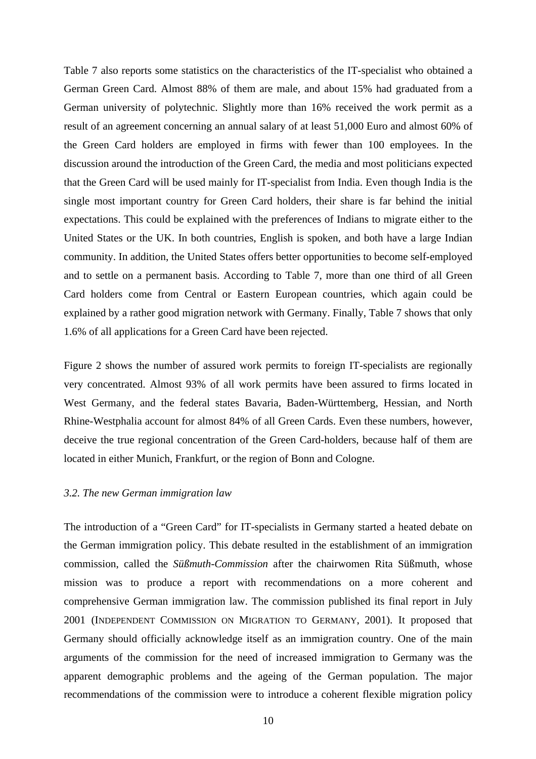Table 7 also reports some statistics on the characteristics of the IT-specialist who obtained a German Green Card. Almost 88% of them are male, and about 15% had graduated from a German university of polytechnic. Slightly more than 16% received the work permit as a result of an agreement concerning an annual salary of at least 51,000 Euro and almost 60% of the Green Card holders are employed in firms with fewer than 100 employees. In the discussion around the introduction of the Green Card, the media and most politicians expected that the Green Card will be used mainly for IT-specialist from India. Even though India is the single most important country for Green Card holders, their share is far behind the initial expectations. This could be explained with the preferences of Indians to migrate either to the United States or the UK. In both countries, English is spoken, and both have a large Indian community. In addition, the United States offers better opportunities to become self-employed and to settle on a permanent basis. According to Table 7, more than one third of all Green Card holders come from Central or Eastern European countries, which again could be explained by a rather good migration network with Germany. Finally, Table 7 shows that only 1.6% of all applications for a Green Card have been rejected.

Figure 2 shows the number of assured work permits to foreign IT-specialists are regionally very concentrated. Almost 93% of all work permits have been assured to firms located in West Germany, and the federal states Bavaria, Baden-Württemberg, Hessian, and North Rhine-Westphalia account for almost 84% of all Green Cards. Even these numbers, however, deceive the true regional concentration of the Green Card-holders, because half of them are located in either Munich, Frankfurt, or the region of Bonn and Cologne.

#### *3.2. The new German immigration law*

The introduction of a "Green Card" for IT-specialists in Germany started a heated debate on the German immigration policy. This debate resulted in the establishment of an immigration commission, called the *Süßmuth-Commission* after the chairwomen Rita Süßmuth, whose mission was to produce a report with recommendations on a more coherent and comprehensive German immigration law. The commission published its final report in July 2001 (INDEPENDENT COMMISSION ON MIGRATION TO GERMANY, 2001). It proposed that Germany should officially acknowledge itself as an immigration country. One of the main arguments of the commission for the need of increased immigration to Germany was the apparent demographic problems and the ageing of the German population. The major recommendations of the commission were to introduce a coherent flexible migration policy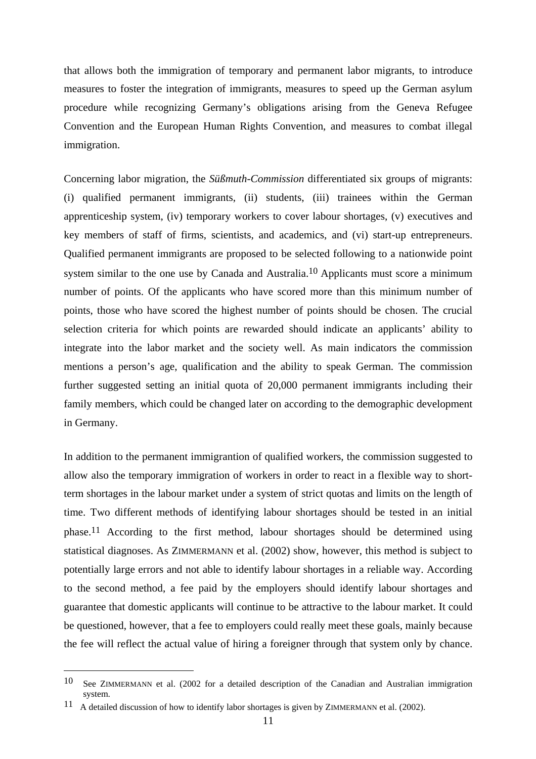that allows both the immigration of temporary and permanent labor migrants, to introduce measures to foster the integration of immigrants, measures to speed up the German asylum procedure while recognizing Germany's obligations arising from the Geneva Refugee Convention and the European Human Rights Convention, and measures to combat illegal immigration.

Concerning labor migration, the *Süßmuth-Commission* differentiated six groups of migrants: (i) qualified permanent immigrants, (ii) students, (iii) trainees within the German apprenticeship system, (iv) temporary workers to cover labour shortages, (v) executives and key members of staff of firms, scientists, and academics, and (vi) start-up entrepreneurs. Qualified permanent immigrants are proposed to be selected following to a nationwide point system similar to the one use by Canada and Australia.<sup>[10](#page-13-0)</sup> Applicants must score a minimum number of points. Of the applicants who have scored more than this minimum number of points, those who have scored the highest number of points should be chosen. The crucial selection criteria for which points are rewarded should indicate an applicants' ability to integrate into the labor market and the society well. As main indicators the commission mentions a person's age, qualification and the ability to speak German. The commission further suggested setting an initial quota of 20,000 permanent immigrants including their family members, which could be changed later on according to the demographic development in Germany.

In addition to the permanent immigrantion of qualified workers, the commission suggested to allow also the temporary immigration of workers in order to react in a flexible way to shortterm shortages in the labour market under a system of strict quotas and limits on the length of time. Two different methods of identifying labour shortages should be tested in an initial phase[.11](#page-13-1) According to the first method, labour shortages should be determined using statistical diagnoses. As ZIMMERMANN et al. (2002) show, however, this method is subject to potentially large errors and not able to identify labour shortages in a reliable way. According to the second method, a fee paid by the employers should identify labour shortages and guarantee that domestic applicants will continue to be attractive to the labour market. It could be questioned, however, that a fee to employers could really meet these goals, mainly because the fee will reflect the actual value of hiring a foreigner through that system only by chance.

 $\overline{a}$ 

<span id="page-13-0"></span><sup>10</sup> See ZIMMERMANN et al. (2002 for a detailed description of the Canadian and Australian immigration system.

<span id="page-13-1"></span><sup>&</sup>lt;sup>11</sup> A detailed discussion of how to identify labor shortages is given by ZIMMERMANN et al. (2002).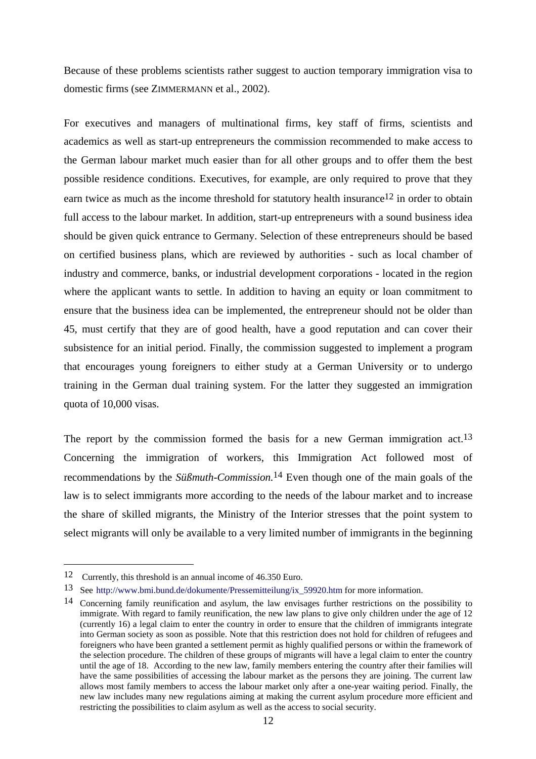Because of these problems scientists rather suggest to auction temporary immigration visa to domestic firms (see ZIMMERMANN et al., 2002).

For executives and managers of multinational firms, key staff of firms, scientists and academics as well as start-up entrepreneurs the commission recommended to make access to the German labour market much easier than for all other groups and to offer them the best possible residence conditions. Executives, for example, are only required to prove that they earn twice as much as the income threshold for statutory health insurance<sup>12</sup> in order to obtain full access to the labour market. In addition, start-up entrepreneurs with a sound business idea should be given quick entrance to Germany. Selection of these entrepreneurs should be based on certified business plans, which are reviewed by authorities - such as local chamber of industry and commerce, banks, or industrial development corporations - located in the region where the applicant wants to settle. In addition to having an equity or loan commitment to ensure that the business idea can be implemented, the entrepreneur should not be older than 45, must certify that they are of good health, have a good reputation and can cover their subsistence for an initial period. Finally, the commission suggested to implement a program that encourages young foreigners to either study at a German University or to undergo training in the German dual training system. For the latter they suggested an immigration quota of 10,000 visas.

The report by the commission formed the basis for a new German immigration act.<sup>[13](#page-14-1)</sup> Concerning the immigration of workers, this Immigration Act followed most of recommendations by the *Süßmuth-Commission.*[14](#page-14-2) Even though one of the main goals of the law is to select immigrants more according to the needs of the labour market and to increase the share of skilled migrants, the Ministry of the Interior stresses that the point system to select migrants will only be available to a very limited number of immigrants in the beginning

 $\overline{a}$ 

<span id="page-14-0"></span><sup>12</sup> Currently, this threshold is an annual income of 46.350 Euro.

<span id="page-14-1"></span><sup>13</sup> See http://www.bmi.bund.de/dokumente/Pressemitteilung/ix\_59920.htm for more information.

<span id="page-14-2"></span><sup>14</sup> Concerning family reunification and asylum, the law envisages further restrictions on the possibility to immigrate. With regard to family reunification, the new law plans to give only children under the age of 12 (currently 16) a legal claim to enter the country in order to ensure that the children of immigrants integrate into German society as soon as possible. Note that this restriction does not hold for children of refugees and foreigners who have been granted a settlement permit as highly qualified persons or within the framework of the selection procedure. The children of these groups of migrants will have a legal claim to enter the country until the age of 18. According to the new law, family members entering the country after their families will have the same possibilities of accessing the labour market as the persons they are joining. The current law allows most family members to access the labour market only after a one-year waiting period. Finally, the new law includes many new regulations aiming at making the current asylum procedure more efficient and restricting the possibilities to claim asylum as well as the access to social security.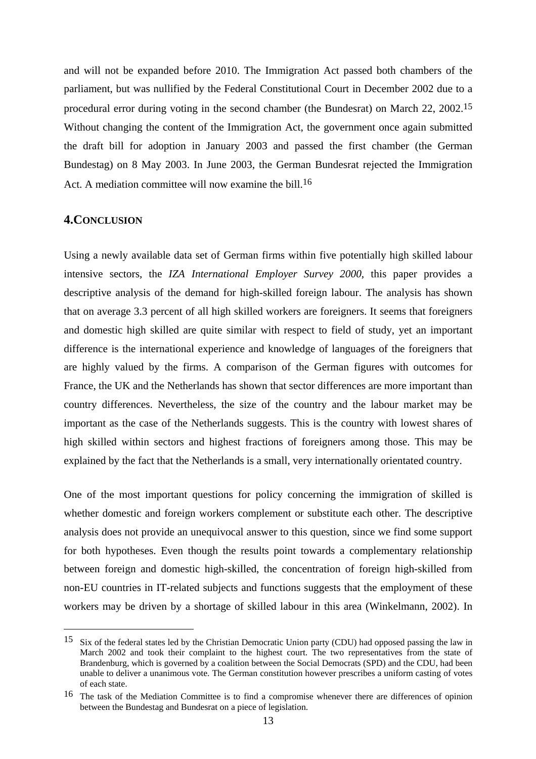and will not be expanded before 2010. The Immigration Act passed both chambers of the parliament, but was nullified by the Federal Constitutional Court in December 2002 due to a procedural error during voting in the second chamber (the Bundesrat) on March 22, 2002.[15](#page-15-0) Without changing the content of the Immigration Act, the government once again submitted the draft bill for adoption in January 2003 and passed the first chamber (the German Bundestag) on 8 May 2003. In June 2003, the German Bundesrat rejected the Immigration Act. A mediation committee will now examine the bill.<sup>[16](#page-15-1)</sup>

#### **4.CONCLUSION**

 $\overline{a}$ 

Using a newly available data set of German firms within five potentially high skilled labour intensive sectors, the *IZA International Employer Survey 2000*, this paper provides a descriptive analysis of the demand for high-skilled foreign labour. The analysis has shown that on average 3.3 percent of all high skilled workers are foreigners. It seems that foreigners and domestic high skilled are quite similar with respect to field of study, yet an important difference is the international experience and knowledge of languages of the foreigners that are highly valued by the firms. A comparison of the German figures with outcomes for France, the UK and the Netherlands has shown that sector differences are more important than country differences. Nevertheless, the size of the country and the labour market may be important as the case of the Netherlands suggests. This is the country with lowest shares of high skilled within sectors and highest fractions of foreigners among those. This may be explained by the fact that the Netherlands is a small, very internationally orientated country.

One of the most important questions for policy concerning the immigration of skilled is whether domestic and foreign workers complement or substitute each other. The descriptive analysis does not provide an unequivocal answer to this question, since we find some support for both hypotheses. Even though the results point towards a complementary relationship between foreign and domestic high-skilled, the concentration of foreign high-skilled from non-EU countries in IT-related subjects and functions suggests that the employment of these workers may be driven by a shortage of skilled labour in this area (Winkelmann, 2002). In

<span id="page-15-0"></span><sup>15</sup> Six of the federal states led by the Christian Democratic Union party (CDU) had opposed passing the law in March 2002 and took their complaint to the highest court. The two representatives from the state of Brandenburg, which is governed by a coalition between the Social Democrats (SPD) and the CDU, had been unable to deliver a unanimous vote. The German constitution however prescribes a uniform casting of votes of each state.

<span id="page-15-1"></span><sup>16</sup> The task of the Mediation Committee is to find a compromise whenever there are differences of opinion between the Bundestag and Bundesrat on a piece of legislation.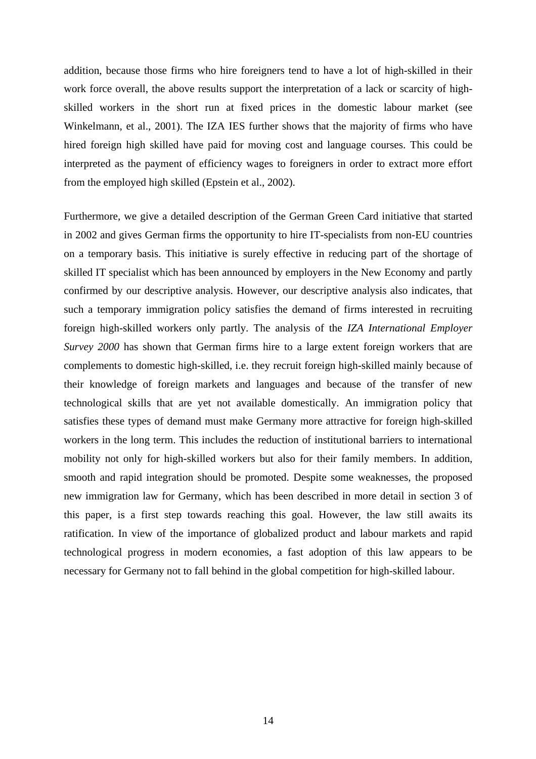addition, because those firms who hire foreigners tend to have a lot of high-skilled in their work force overall, the above results support the interpretation of a lack or scarcity of highskilled workers in the short run at fixed prices in the domestic labour market (see Winkelmann, et al., 2001). The IZA IES further shows that the majority of firms who have hired foreign high skilled have paid for moving cost and language courses. This could be interpreted as the payment of efficiency wages to foreigners in order to extract more effort from the employed high skilled (Epstein et al., 2002).

Furthermore, we give a detailed description of the German Green Card initiative that started in 2002 and gives German firms the opportunity to hire IT-specialists from non-EU countries on a temporary basis. This initiative is surely effective in reducing part of the shortage of skilled IT specialist which has been announced by employers in the New Economy and partly confirmed by our descriptive analysis. However, our descriptive analysis also indicates, that such a temporary immigration policy satisfies the demand of firms interested in recruiting foreign high-skilled workers only partly. The analysis of the *IZA International Employer Survey 2000* has shown that German firms hire to a large extent foreign workers that are complements to domestic high-skilled, i.e. they recruit foreign high-skilled mainly because of their knowledge of foreign markets and languages and because of the transfer of new technological skills that are yet not available domestically. An immigration policy that satisfies these types of demand must make Germany more attractive for foreign high-skilled workers in the long term. This includes the reduction of institutional barriers to international mobility not only for high-skilled workers but also for their family members. In addition, smooth and rapid integration should be promoted. Despite some weaknesses, the proposed new immigration law for Germany, which has been described in more detail in section 3 of this paper, is a first step towards reaching this goal. However, the law still awaits its ratification. In view of the importance of globalized product and labour markets and rapid technological progress in modern economies, a fast adoption of this law appears to be necessary for Germany not to fall behind in the global competition for high-skilled labour.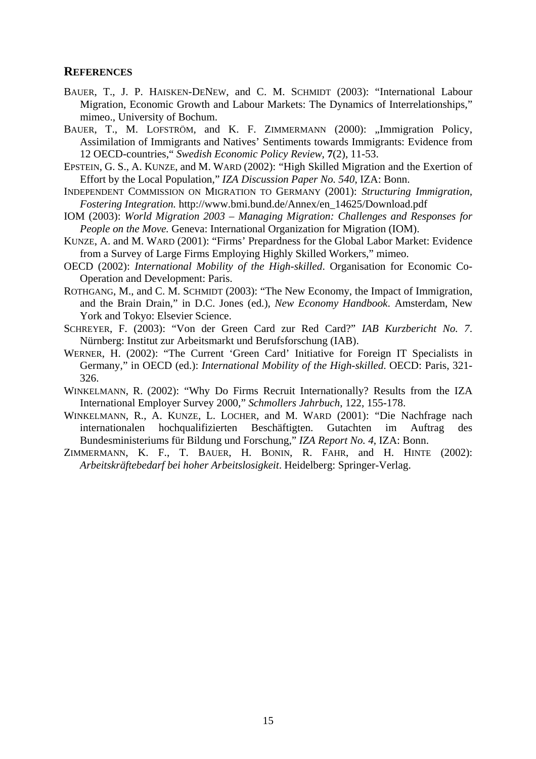#### **REFERENCES**

- BAUER, T., J. P. HAISKEN-DENEW, and C. M. SCHMIDT (2003): "International Labour Migration, Economic Growth and Labour Markets: The Dynamics of Interrelationships," mimeo., University of Bochum.
- BAUER, T., M. LOFSTRÖM, and K. F. ZIMMERMANN (2000): "Immigration Policy, Assimilation of Immigrants and Natives' Sentiments towards Immigrants: Evidence from 12 OECD-countries," *Swedish Economic Policy Review*, **7**(2), 11-53.
- EPSTEIN, G. S., A. KUNZE, and M. WARD (2002): "High Skilled Migration and the Exertion of Effort by the Local Population," *IZA Discussion Paper No. 540*, IZA: Bonn.
- INDEPENDENT COMMISSION ON MIGRATION TO GERMANY (2001): *Structuring Immigration, Fostering Integration.* http://www.bmi.bund.de/Annex/en\_14625/Download.pdf
- IOM (2003): *World Migration 2003 Managing Migration: Challenges and Responses for People on the Move.* Geneva: International Organization for Migration (IOM).
- KUNZE, A. and M. WARD (2001): "Firms' Prepardness for the Global Labor Market: Evidence from a Survey of Large Firms Employing Highly Skilled Workers," mimeo.
- OECD (2002): *International Mobility of the High-skilled*. Organisation for Economic Co-Operation and Development: Paris.
- ROTHGANG, M., and C. M. SCHMIDT (2003): "The New Economy, the Impact of Immigration, and the Brain Drain," in D.C. Jones (ed.), *New Economy Handbook*. Amsterdam, New York and Tokyo: Elsevier Science.
- SCHREYER, F. (2003): "Von der Green Card zur Red Card?" *IAB Kurzbericht No. 7*. Nürnberg: Institut zur Arbeitsmarkt und Berufsforschung (IAB).
- WERNER, H. (2002): "The Current 'Green Card' Initiative for Foreign IT Specialists in Germany," in OECD (ed.): *International Mobility of the High-skilled*. OECD: Paris, 321- 326.
- WINKELMANN, R. (2002): "Why Do Firms Recruit Internationally? Results from the IZA International Employer Survey 2000," *Schmollers Jahrbuch*, 122, 155-178.
- WINKELMANN, R., A. KUNZE, L. LOCHER, and M. WARD (2001): "Die Nachfrage nach internationalen hochqualifizierten Beschäftigten. Gutachten im Auftrag des Bundesministeriums für Bildung und Forschung," *IZA Report No. 4*, IZA: Bonn.
- ZIMMERMANN, K. F., T. BAUER, H. BONIN, R. FAHR, and H. HINTE (2002): *Arbeitskräftebedarf bei hoher Arbeitslosigkeit*. Heidelberg: Springer-Verlag.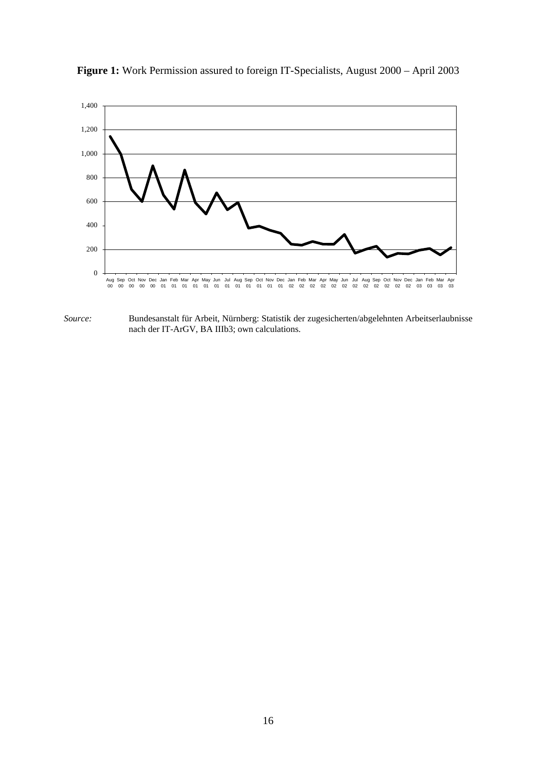

**Figure 1:** Work Permission assured to foreign IT-Specialists, August 2000 – April 2003

*Source:* Bundesanstalt für Arbeit, Nürnberg: Statistik der zugesicherten/abgelehnten Arbeitserlaubnisse nach der IT-ArGV, BA IIIb3; own calculations.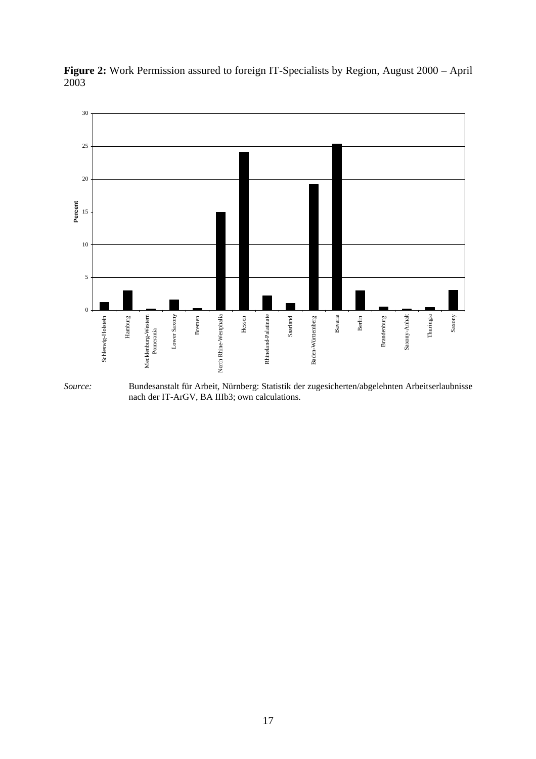

**Figure 2:** Work Permission assured to foreign IT-Specialists by Region, August 2000 – April 2003

*Source:* Bundesanstalt für Arbeit, Nürnberg: Statistik der zugesicherten/abgelehnten Arbeitserlaubnisse nach der IT-ArGV, BA IIIb3; own calculations.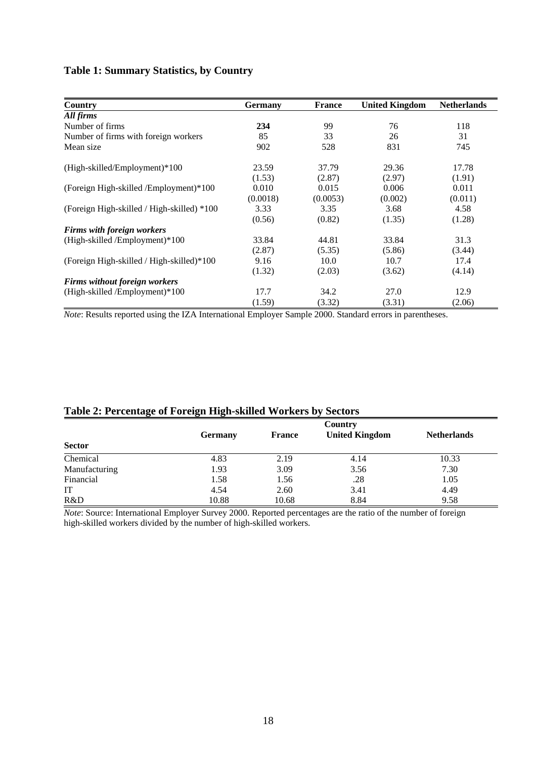#### **Table 1: Summary Statistics, by Country**

| Country                                    | <b>Germany</b> | <b>France</b> | <b>United Kingdom</b> | <b>Netherlands</b> |
|--------------------------------------------|----------------|---------------|-----------------------|--------------------|
|                                            |                |               |                       |                    |
| All firms                                  |                |               |                       |                    |
| Number of firms                            | 234            | 99            | 76                    | 118                |
| Number of firms with foreign workers       | 85             | 33            | 26                    | 31                 |
| Mean size                                  | 902            | 528           | 831                   | 745                |
| $(High-skilled/Employment)*100$            | 23.59          | 37.79         | 29.36                 | 17.78              |
|                                            | (1.53)         | (2.87)        | (2.97)                | (1.91)             |
| (Foreign High-skilled /Employment)*100     | 0.010          | 0.015         | 0.006                 | 0.011              |
|                                            | (0.0018)       | (0.0053)      | (0.002)               | (0.011)            |
| (Foreign High-skilled / High-skilled) *100 | 3.33           | 3.35          | 3.68                  | 4.58               |
|                                            | (0.56)         | (0.82)        | (1.35)                | (1.28)             |
| <b>Firms with foreign workers</b>          |                |               |                       |                    |
| (High-skilled /Employment)*100             | 33.84          | 44.81         | 33.84                 | 31.3               |
|                                            | (2.87)         | (5.35)        | (5.86)                | (3.44)             |
| (Foreign High-skilled / High-skilled)*100  | 9.16           | 10.0          | 10.7                  | 17.4               |
|                                            | (1.32)         | (2.03)        | (3.62)                | (4.14)             |
| <b>Firms without foreign workers</b>       |                |               |                       |                    |
| (High-skilled /Employment)*100             | 17.7           | 34.2          | 27.0                  | 12.9               |
|                                            | (1.59)         | (3.32)        | (3.31)                | (2.06)             |

*Note*: Results reported using the IZA International Employer Sample 2000. Standard errors in parentheses.

|               | Country        |               |                       |                    |  |  |  |
|---------------|----------------|---------------|-----------------------|--------------------|--|--|--|
|               | <b>Germany</b> | <b>France</b> | <b>United Kingdom</b> | <b>Netherlands</b> |  |  |  |
| <b>Sector</b> |                |               |                       |                    |  |  |  |
| Chemical      | 4.83           | 2.19          | 4.14                  | 10.33              |  |  |  |
| Manufacturing | 1.93           | 3.09          | 3.56                  | 7.30               |  |  |  |
| Financial     | 1.58           | 1.56          | .28                   | 1.05               |  |  |  |
| IT            | 4.54           | 2.60          | 3.41                  | 4.49               |  |  |  |
| R&D           | 10.88          | 10.68         | 8.84                  | 9.58               |  |  |  |

#### **Table 2: Percentage of Foreign High-skilled Workers by Sectors**

*Note*: Source: International Employer Survey 2000. Reported percentages are the ratio of the number of foreign high-skilled workers divided by the number of high-skilled workers.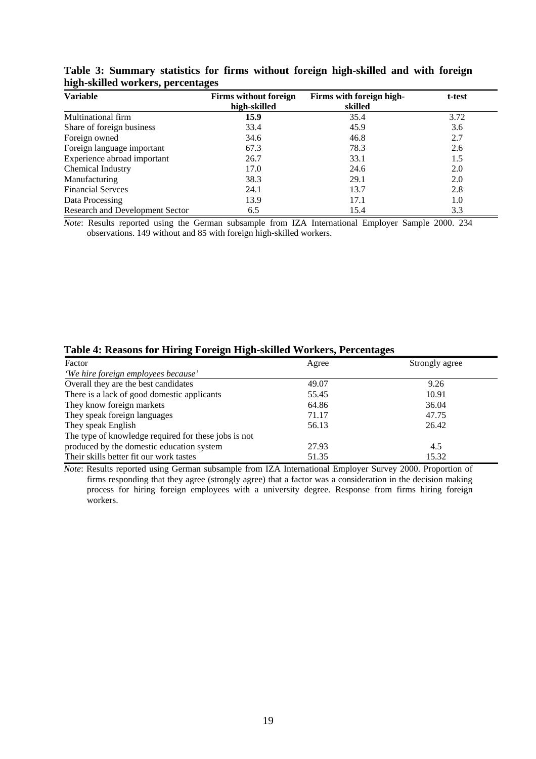| <b>Variable</b>                 | <b>Firms without foreign</b><br>high-skilled | Firms with foreign high-<br>skilled | t-test |
|---------------------------------|----------------------------------------------|-------------------------------------|--------|
| Multinational firm              | 15.9                                         | 35.4                                | 3.72   |
| Share of foreign business       | 33.4                                         | 45.9                                | 3.6    |
| Foreign owned                   | 34.6                                         | 46.8                                | 2.7    |
| Foreign language important      | 67.3                                         | 78.3                                | 2.6    |
| Experience abroad important     | 26.7                                         | 33.1                                | 1.5    |
| Chemical Industry               | 17.0                                         | 24.6                                | 2.0    |
| Manufacturing                   | 38.3                                         | 29.1                                | 2.0    |
| <b>Financial Servees</b>        | 24.1                                         | 13.7                                | 2.8    |
| Data Processing                 | 13.9                                         | 17.1                                | 1.0    |
| Research and Development Sector | 6.5                                          | 15.4                                | 3.3    |

#### **Table 3: Summary statistics for firms without foreign high-skilled and with foreign high-skilled workers, percentages**

*Note:* Results reported using the German subsample from IZA International Employer Sample 2000. 234 observations. 149 without and 85 with foreign high-skilled workers.

#### **Table 4: Reasons for Hiring Foreign High-skilled Workers, Percentages**

| Factor                                               | Agree | Strongly agree |
|------------------------------------------------------|-------|----------------|
| 'We hire foreign employees because'                  |       |                |
| Overall they are the best candidates                 | 49.07 | 9.26           |
| There is a lack of good domestic applicants          | 55.45 | 10.91          |
| They know foreign markets                            | 64.86 | 36.04          |
| They speak foreign languages                         | 71.17 | 47.75          |
| They speak English                                   | 56.13 | 26.42          |
| The type of knowledge required for these jobs is not |       |                |
| produced by the domestic education system            | 27.93 | 4.5            |
| Their skills better fit our work tastes              | 51.35 | 15.32          |

*Note*: Results reported using German subsample from IZA International Employer Survey 2000. Proportion of firms responding that they agree (strongly agree) that a factor was a consideration in the decision making process for hiring foreign employees with a university degree. Response from firms hiring foreign workers.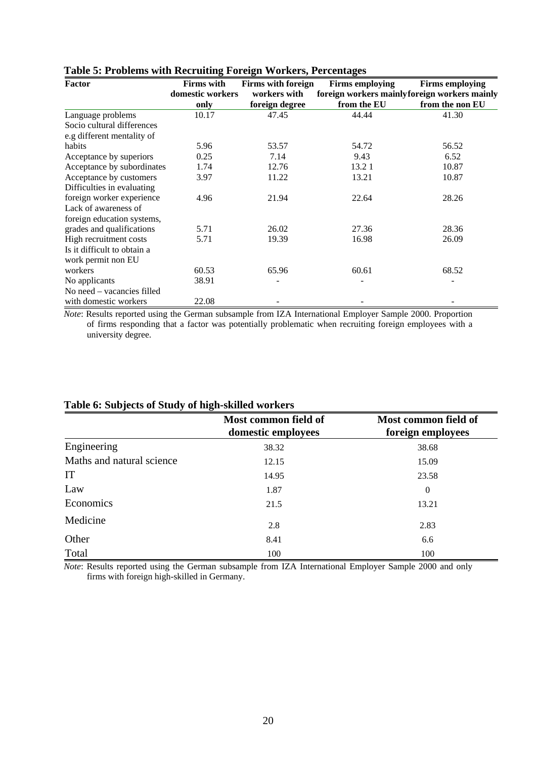|                             |                   |                           | 0                      |                                               |
|-----------------------------|-------------------|---------------------------|------------------------|-----------------------------------------------|
| <b>Factor</b>               | <b>Firms</b> with | <b>Firms with foreign</b> | <b>Firms employing</b> | <b>Firms employing</b>                        |
|                             | domestic workers  | workers with              |                        | foreign workers mainly foreign workers mainly |
|                             | only              | foreign degree            | from the EU            | from the non EU                               |
| Language problems           | 10.17             | 47.45                     | 44.44                  | 41.30                                         |
| Socio cultural differences  |                   |                           |                        |                                               |
| e.g different mentality of  |                   |                           |                        |                                               |
| habits                      | 5.96              | 53.57                     | 54.72                  | 56.52                                         |
| Acceptance by superiors     | 0.25              | 7.14                      | 9.43                   | 6.52                                          |
| Acceptance by subordinates  | 1.74              | 12.76                     | 13.2 1                 | 10.87                                         |
| Acceptance by customers     | 3.97              | 11.22                     | 13.21                  | 10.87                                         |
| Difficulties in evaluating  |                   |                           |                        |                                               |
| foreign worker experience   | 4.96              | 21.94                     | 22.64                  | 28.26                                         |
| Lack of awareness of        |                   |                           |                        |                                               |
| foreign education systems,  |                   |                           |                        |                                               |
| grades and qualifications   | 5.71              | 26.02                     | 27.36                  | 28.36                                         |
| High recruitment costs      | 5.71              | 19.39                     | 16.98                  | 26.09                                         |
| Is it difficult to obtain a |                   |                           |                        |                                               |
| work permit non EU          |                   |                           |                        |                                               |
| workers                     | 60.53             | 65.96                     | 60.61                  | 68.52                                         |
| No applicants               | 38.91             |                           |                        |                                               |
| No need – vacancies filled  |                   |                           |                        |                                               |
| with domestic workers       | 22.08             |                           |                        |                                               |

#### **Table 5: Problems with Recruiting Foreign Workers, Percentages**

*Note*: Results reported using the German subsample from IZA International Employer Sample 2000. Proportion of firms responding that a factor was potentially problematic when recruiting foreign employees with a university degree.

|                           | Most common field of<br>domestic employees | Most common field of<br>foreign employees |
|---------------------------|--------------------------------------------|-------------------------------------------|
| Engineering               | 38.32                                      | 38.68                                     |
| Maths and natural science | 12.15                                      | 15.09                                     |
| IT                        | 14.95                                      | 23.58                                     |
| Law                       | 1.87                                       | $\theta$                                  |
| Economics                 | 21.5                                       | 13.21                                     |
| Medicine                  | 2.8                                        | 2.83                                      |
| Other                     | 8.41                                       | 6.6                                       |
| Total                     | 100                                        | 100                                       |

#### **Table 6: Subjects of Study of high-skilled workers**

*Note*: Results reported using the German subsample from IZA International Employer Sample 2000 and only firms with foreign high-skilled in Germany.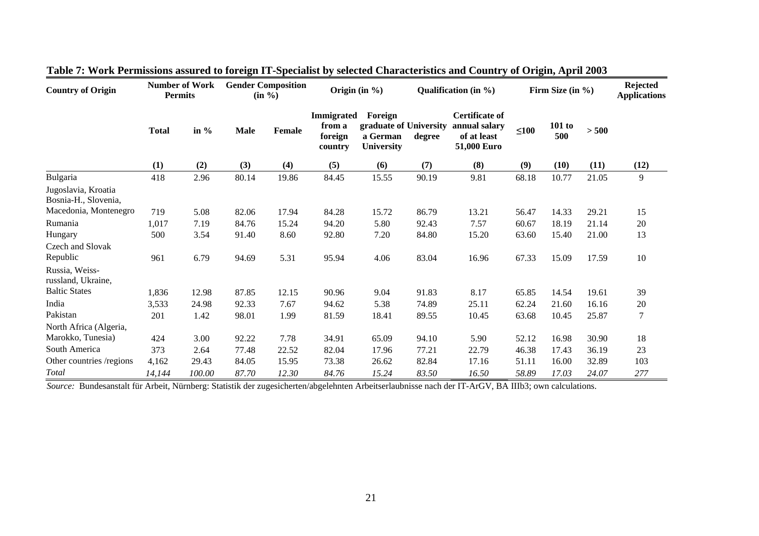| <b>Country of Origin</b>                    | <b>Number of Work</b><br><b>Permits</b> |        | <b>Gender Composition</b><br>$(in \%)$ |        | Origin (in $\%$ )            |                                                                                                |        | <b>Qualification</b> (in %)                                                        |            | Firm Size (in $\%$ ) |       | <b>Rejected</b><br><b>Applications</b> |
|---------------------------------------------|-----------------------------------------|--------|----------------------------------------|--------|------------------------------|------------------------------------------------------------------------------------------------|--------|------------------------------------------------------------------------------------|------------|----------------------|-------|----------------------------------------|
|                                             | <b>Total</b>                            | in $%$ | <b>Male</b><br>(3)                     | Female | from a<br>foreign<br>country | Immigrated<br>Foreign<br>graduate of University<br>a German<br><b>University</b><br>(5)<br>(6) | degree | <b>Certificate of</b><br>annual salary<br>of at least<br>51,000 Euro<br>(7)<br>(8) | $\leq 100$ | 101 to<br>500        | > 500 |                                        |
|                                             | (1)                                     | (2)    |                                        | (4)    |                              |                                                                                                |        |                                                                                    | (9)        | (10)                 | (11)  | (12)                                   |
| Bulgaria                                    | 418                                     | 2.96   | 80.14                                  | 19.86  | 84.45                        | 15.55                                                                                          | 90.19  | 9.81                                                                               | 68.18      | 10.77                | 21.05 | 9                                      |
| Jugoslavia, Kroatia<br>Bosnia-H., Slovenia, |                                         |        |                                        |        |                              |                                                                                                |        |                                                                                    |            |                      |       |                                        |
| Macedonia, Montenegro                       | 719                                     | 5.08   | 82.06                                  | 17.94  | 84.28                        | 15.72                                                                                          | 86.79  | 13.21                                                                              | 56.47      | 14.33                | 29.21 | 15                                     |
| Rumania                                     | 1,017                                   | 7.19   | 84.76                                  | 15.24  | 94.20                        | 5.80                                                                                           | 92.43  | 7.57                                                                               | 60.67      | 18.19                | 21.14 | 20                                     |
| Hungary                                     | 500                                     | 3.54   | 91.40                                  | 8.60   | 92.80                        | 7.20                                                                                           | 84.80  | 15.20                                                                              | 63.60      | 15.40                | 21.00 | 13                                     |
| Czech and Slovak<br>Republic                | 961                                     | 6.79   | 94.69                                  | 5.31   | 95.94                        | 4.06                                                                                           | 83.04  | 16.96                                                                              | 67.33      | 15.09                | 17.59 | 10                                     |
| Russia, Weiss-<br>russland, Ukraine,        |                                         |        |                                        |        |                              |                                                                                                |        |                                                                                    |            |                      |       |                                        |
| <b>Baltic States</b>                        | 1,836                                   | 12.98  | 87.85                                  | 12.15  | 90.96                        | 9.04                                                                                           | 91.83  | 8.17                                                                               | 65.85      | 14.54                | 19.61 | 39                                     |
| India                                       | 3,533                                   | 24.98  | 92.33                                  | 7.67   | 94.62                        | 5.38                                                                                           | 74.89  | 25.11                                                                              | 62.24      | 21.60                | 16.16 | 20                                     |
| Pakistan                                    | 201                                     | 1.42   | 98.01                                  | 1.99   | 81.59                        | 18.41                                                                                          | 89.55  | 10.45                                                                              | 63.68      | 10.45                | 25.87 | $\tau$                                 |
| North Africa (Algeria,                      |                                         |        |                                        |        |                              |                                                                                                |        |                                                                                    |            |                      |       |                                        |
| Marokko, Tunesia)                           | 424                                     | 3.00   | 92.22                                  | 7.78   | 34.91                        | 65.09                                                                                          | 94.10  | 5.90                                                                               | 52.12      | 16.98                | 30.90 | 18                                     |
| South America                               | 373                                     | 2.64   | 77.48                                  | 22.52  | 82.04                        | 17.96                                                                                          | 77.21  | 22.79                                                                              | 46.38      | 17.43                | 36.19 | 23                                     |
| Other countries / regions                   | 4,162                                   | 29.43  | 84.05                                  | 15.95  | 73.38                        | 26.62                                                                                          | 82.84  | 17.16                                                                              | 51.11      | 16.00                | 32.89 | 103                                    |
| Total                                       | 14,144                                  | 100.00 | 87.70                                  | 12.30  | 84.76                        | 15.24                                                                                          | 83.50  | 16.50                                                                              | 58.89      | 17.03                | 24.07 | 277                                    |

**Table 7: Work Permissions assured to foreign IT-Specialist by selected Characteristics and Country of Origin, April 2003** 

*Source:* Bundesanstalt für Arbeit, Nürnberg: Statistik der zugesicherten/abgelehnten Arbeitserlaubnisse nach der IT-ArGV, BA IIIb3; own calculations.